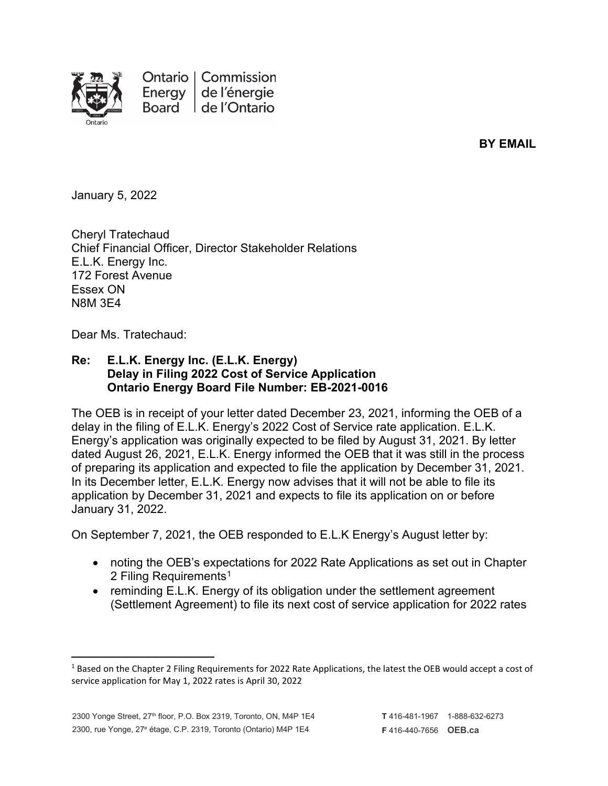

Ontario | Commission Energy de l'énergie Board de l'Ontario

**BY EMAIL**

January 5, 2022

Cheryl Tratechaud Chief Financial Officer, Director Stakeholder Relations E.L.K. Energy Inc. 172 Forest Avenue Essex ON N8M 3E4

Dear Ms. Tratechaud:

## **Re: E.L.K. Energy Inc. (E.L.K. Energy) Delay in Filing 2022 Cost of Service Application Ontario Energy Board File Number: EB-2021-0016**

The OEB is in receipt of your letter dated December 23, 2021, informing the OEB of a delay in the filing of E.L.K. Energy's 2022 Cost of Service rate application. E.L.K. Energy's application was originally expected to be filed by August 31, 2021. By letter dated August 26, 2021, E.L.K. Energy informed the OEB that it was still in the process of preparing its application and expected to file the application by December 31, 2021. In its December letter, E.L.K. Energy now advises that it will not be able to file its application by December 31, 2021 and expects to file its application on or before January 31, 2022.

On September 7, 2021, the OEB responded to E.L.K Energy's August letter by:

- noting the OEB's expectations for 2022 Rate Applications as set out in Chapter 2 Filing Requirements<sup>[1](#page-0-0)</sup>
- reminding E.L.K. Energy of its obligation under the settlement agreement (Settlement Agreement) to file its next cost of service application for 2022 rates

<span id="page-0-0"></span><sup>&</sup>lt;sup>1</sup> Based on the Chapter 2 Filing Requirements for 2022 Rate Applications, the latest the OEB would accept a cost of service application for May 1, 2022 rates is April 30, 2022